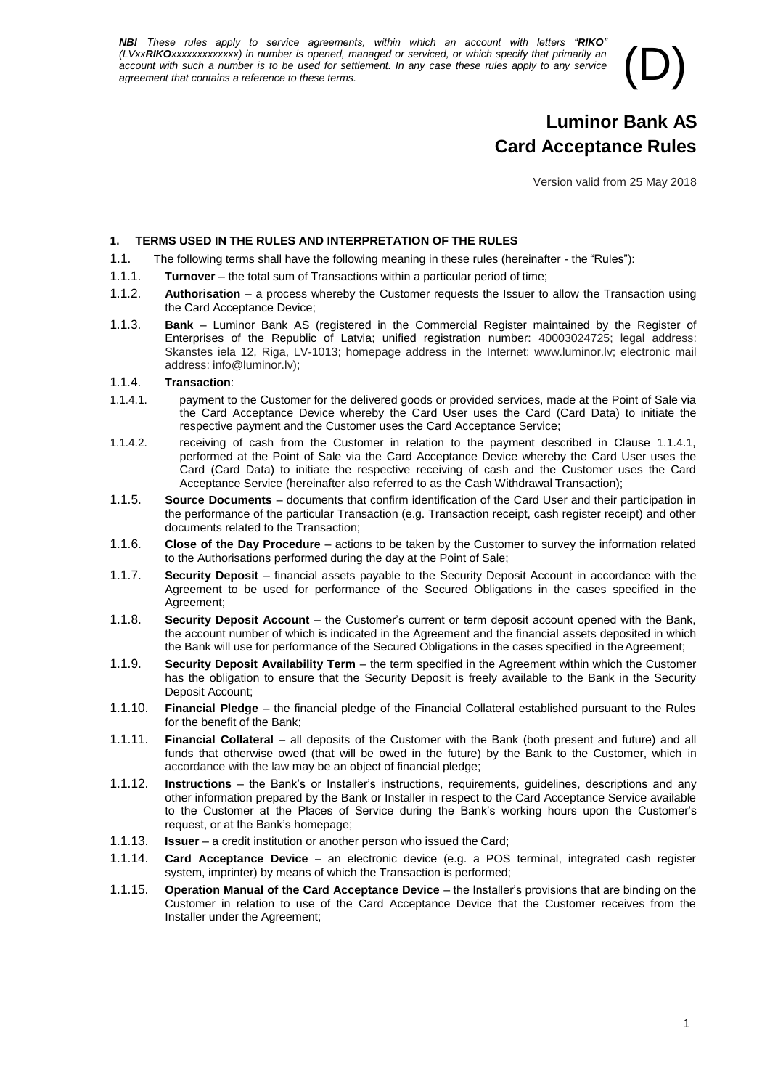*NB! These rules apply to service agreements, within which an account with letters "RIKO" (LVxxRIKOxxxxxxxxxxxx) in number is opened, managed or serviced, or which specify that primarily an account with such a number is to be used for settlement. In any case these rules apply to any service agreement that co account with such a number is to be used for settlement. In any case these rules apply to any service* 

# **Luminor Bank AS Card Acceptance Rules**

Version valid from 25 May 2018

# **1. TERMS USED IN THE RULES AND INTERPRETATION OF THE RULES**

- 1.1. The following terms shall have the following meaning in these rules (hereinafter the "Rules"):
- 1.1.1. **Turnover**  the total sum of Transactions within a particular period of time;
- 1.1.2. **Authorisation**  a process whereby the Customer requests the Issuer to allow the Transaction using the Card Acceptance Device;
- 1.1.3. **Bank**  Luminor Bank AS (registered in the Commercial Register maintained by the Register of Enterprises of the Republic of Latvia; unified registration number: 40003024725; legal address: Skanstes iela 12, Riga, LV-1013; homepage address in the Internet: www.luminor.lv; electronic mail address: info@luminor.lv);

#### 1.1.4. **Transaction**:

- 1.1.4.1. payment to the Customer for the delivered goods or provided services, made at the Point of Sale via the Card Acceptance Device whereby the Card User uses the Card (Card Data) to initiate the respective payment and the Customer uses the Card Acceptance Service;
- 1.1.4.2. receiving of cash from the Customer in relation to the payment described in Clause 1.1.4.1, performed at the Point of Sale via the Card Acceptance Device whereby the Card User uses the Card (Card Data) to initiate the respective receiving of cash and the Customer uses the Card Acceptance Service (hereinafter also referred to as the Cash Withdrawal Transaction);
- 1.1.5. **Source Documents**  documents that confirm identification of the Card User and their participation in the performance of the particular Transaction (e.g. Transaction receipt, cash register receipt) and other documents related to the Transaction;
- 1.1.6. **Close of the Day Procedure**  actions to be taken by the Customer to survey the information related to the Authorisations performed during the day at the Point of Sale;
- 1.1.7. **Security Deposit**  financial assets payable to the Security Deposit Account in accordance with the Agreement to be used for performance of the Secured Obligations in the cases specified in the Agreement;
- 1.1.8. **Security Deposit Account**  the Customer's current or term deposit account opened with the Bank, the account number of which is indicated in the Agreement and the financial assets deposited in which the Bank will use for performance of the Secured Obligations in the cases specified in the Agreement;
- 1.1.9. **Security Deposit Availability Term**  the term specified in the Agreement within which the Customer has the obligation to ensure that the Security Deposit is freely available to the Bank in the Security Deposit Account;
- 1.1.10. **Financial Pledge**  the financial pledge of the Financial Collateral established pursuant to the Rules for the benefit of the Bank;
- 1.1.11. **Financial Collateral**  all deposits of the Customer with the Bank (both present and future) and all funds that otherwise owed (that will be owed in the future) by the Bank to the Customer, which in accordance with the law may be an object of financial pledge;
- 1.1.12. **Instructions**  the Bank's or Installer's instructions, requirements, guidelines, descriptions and any other information prepared by the Bank or Installer in respect to the Card Acceptance Service available to the Customer at the Places of Service during the Bank's working hours upon the Customer's request, or at the Bank's homepage;
- 1.1.13. **Issuer**  a credit institution or another person who issued the Card;
- 1.1.14. **Card Acceptance Device**  an electronic device (e.g. a POS terminal, integrated cash register system, imprinter) by means of which the Transaction is performed;
- 1.1.15. **Operation Manual of the Card Acceptance Device**  the Installer's provisions that are binding on the Customer in relation to use of the Card Acceptance Device that the Customer receives from the Installer under the Agreement;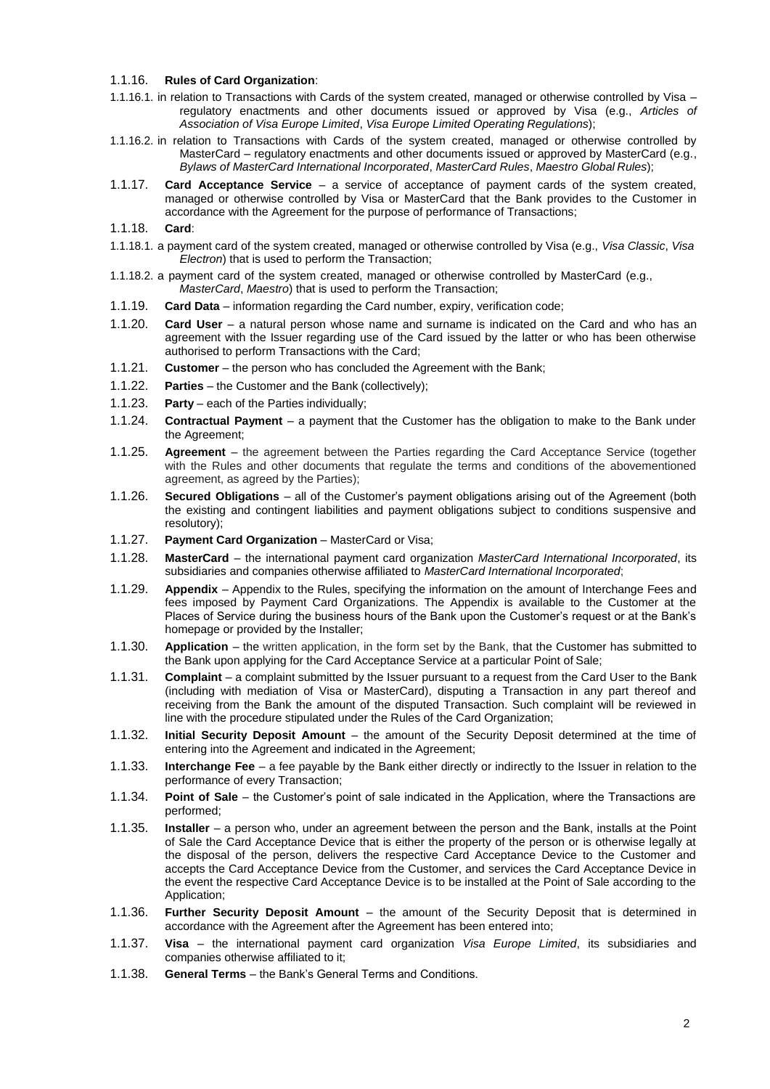#### 1.1.16. **Rules of Card Organization**:

- 1.1.16.1. in relation to Transactions with Cards of the system created, managed or otherwise controlled by Visa regulatory enactments and other documents issued or approved by Visa (e.g., *Articles of Association of Visa Europe Limited*, *Visa Europe Limited Operating Regulations*);
- 1.1.16.2. in relation to Transactions with Cards of the system created, managed or otherwise controlled by MasterCard – regulatory enactments and other documents issued or approved by MasterCard (e.g., *Bylaws of MasterCard International Incorporated*, *MasterCard Rules*, *Maestro Global Rules*);
- 1.1.17. **Card Acceptance Service**  a service of acceptance of payment cards of the system created, managed or otherwise controlled by Visa or MasterCard that the Bank provides to the Customer in accordance with the Agreement for the purpose of performance of Transactions;

#### 1.1.18. **Card**:

- 1.1.18.1. a payment card of the system created, managed or otherwise controlled by Visa (e.g., *Visa Classic*, *Visa Electron*) that is used to perform the Transaction;
- 1.1.18.2. a payment card of the system created, managed or otherwise controlled by MasterCard (e.g., *MasterCard*, *Maestro*) that is used to perform the Transaction;
- 1.1.19. **Card Data**  information regarding the Card number, expiry, verification code;
- 1.1.20. **Card User**  a natural person whose name and surname is indicated on the Card and who has an agreement with the Issuer regarding use of the Card issued by the latter or who has been otherwise authorised to perform Transactions with the Card;
- 1.1.21. **Customer**  the person who has concluded the Agreement with the Bank;
- 1.1.22. **Parties**  the Customer and the Bank (collectively);
- 1.1.23. **Party**  each of the Parties individually;
- 1.1.24. **Contractual Payment**  a payment that the Customer has the obligation to make to the Bank under the Agreement;
- 1.1.25. **Agreement**  the agreement between the Parties regarding the Card Acceptance Service (together with the Rules and other documents that regulate the terms and conditions of the abovementioned agreement, as agreed by the Parties);
- 1.1.26. **Secured Obligations**  all of the Customer's payment obligations arising out of the Agreement (both the existing and contingent liabilities and payment obligations subject to conditions suspensive and resolutory);
- 1.1.27. **Payment Card Organization** MasterCard or Visa;
- 1.1.28. **MasterCard**  the international payment card organization *MasterCard International Incorporated*, its subsidiaries and companies otherwise affiliated to *MasterCard International Incorporated*;
- 1.1.29. **Appendix**  Appendix to the Rules, specifying the information on the amount of Interchange Fees and fees imposed by Payment Card Organizations. The Appendix is available to the Customer at the Places of Service during the business hours of the Bank upon the Customer's request or at the Bank's homepage or provided by the Installer;
- 1.1.30. **Application**  the written application, in the form set by the Bank, that the Customer has submitted to the Bank upon applying for the Card Acceptance Service at a particular Point of Sale;
- 1.1.31. **Complaint**  a complaint submitted by the Issuer pursuant to a request from the Card User to the Bank (including with mediation of Visa or MasterCard), disputing a Transaction in any part thereof and receiving from the Bank the amount of the disputed Transaction. Such complaint will be reviewed in line with the procedure stipulated under the Rules of the Card Organization;
- 1.1.32. **Initial Security Deposit Amount**  the amount of the Security Deposit determined at the time of entering into the Agreement and indicated in the Agreement;
- 1.1.33. **Interchange Fee**  a fee payable by the Bank either directly or indirectly to the Issuer in relation to the performance of every Transaction;
- 1.1.34. **Point of Sale**  the Customer's point of sale indicated in the Application, where the Transactions are performed;
- 1.1.35. **Installer**  a person who, under an agreement between the person and the Bank, installs at the Point of Sale the Card Acceptance Device that is either the property of the person or is otherwise legally at the disposal of the person, delivers the respective Card Acceptance Device to the Customer and accepts the Card Acceptance Device from the Customer, and services the Card Acceptance Device in the event the respective Card Acceptance Device is to be installed at the Point of Sale according to the Application;
- 1.1.36. **Further Security Deposit Amount**  the amount of the Security Deposit that is determined in accordance with the Agreement after the Agreement has been entered into;
- 1.1.37. **Visa**  the international payment card organization *Visa Europe Limited*, its subsidiaries and companies otherwise affiliated to it;
- 1.1.38. **General Terms**  the Bank's General Terms and Conditions.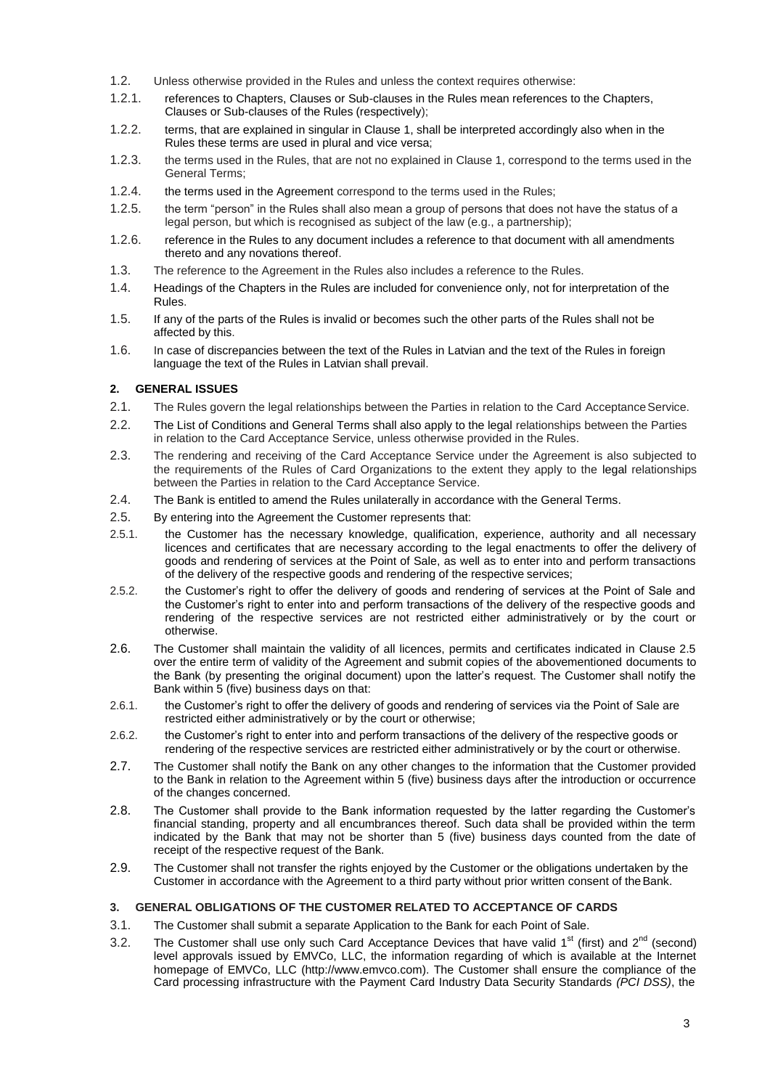- 1.2. Unless otherwise provided in the Rules and unless the context requires otherwise:
- 1.2.1. references to Chapters, Clauses or Sub-clauses in the Rules mean references to the Chapters, Clauses or Sub-clauses of the Rules (respectively);
- 1.2.2. terms, that are explained in singular in Clause 1, shall be interpreted accordingly also when in the Rules these terms are used in plural and vice versa;
- 1.2.3. the terms used in the Rules, that are not no explained in Clause 1, correspond to the terms used in the General Terms;
- 1.2.4. the terms used in the Agreement correspond to the terms used in the Rules;
- 1.2.5. the term "person" in the Rules shall also mean a group of persons that does not have the status of a legal person, but which is recognised as subject of the law (e.g., a partnership);
- 1.2.6. reference in the Rules to any document includes a reference to that document with all amendments thereto and any novations thereof.
- 1.3. The reference to the Agreement in the Rules also includes a reference to the Rules.
- 1.4. Headings of the Chapters in the Rules are included for convenience only, not for interpretation of the Rules.
- 1.5. If any of the parts of the Rules is invalid or becomes such the other parts of the Rules shall not be affected by this.
- 1.6. In case of discrepancies between the text of the Rules in Latvian and the text of the Rules in foreign language the text of the Rules in Latvian shall prevail.

# **2. GENERAL ISSUES**

- 2.1. The Rules govern the legal relationships between the Parties in relation to the Card AcceptanceService.
- 2.2. The List of Conditions and General Terms shall also apply to the legal relationships between the Parties in relation to the Card Acceptance Service, unless otherwise provided in the Rules.
- 2.3. The rendering and receiving of the Card Acceptance Service under the Agreement is also subjected to the requirements of the Rules of Card Organizations to the extent they apply to the legal relationships between the Parties in relation to the Card Acceptance Service.
- 2.4. The Bank is entitled to amend the Rules unilaterally in accordance with the General Terms.
- 2.5. By entering into the Agreement the Customer represents that:
- 2.5.1. the Customer has the necessary knowledge, qualification, experience, authority and all necessary licences and certificates that are necessary according to the legal enactments to offer the delivery of goods and rendering of services at the Point of Sale, as well as to enter into and perform transactions of the delivery of the respective goods and rendering of the respective services;
- 2.5.2. the Customer's right to offer the delivery of goods and rendering of services at the Point of Sale and the Customer's right to enter into and perform transactions of the delivery of the respective goods and rendering of the respective services are not restricted either administratively or by the court or otherwise.
- 2.6. The Customer shall maintain the validity of all licences, permits and certificates indicated in Clause 2.5 over the entire term of validity of the Agreement and submit copies of the abovementioned documents to the Bank (by presenting the original document) upon the latter's request. The Customer shall notify the Bank within 5 (five) business days on that:
- 2.6.1. the Customer's right to offer the delivery of goods and rendering of services via the Point of Sale are restricted either administratively or by the court or otherwise;
- 2.6.2. the Customer's right to enter into and perform transactions of the delivery of the respective goods or rendering of the respective services are restricted either administratively or by the court or otherwise.
- 2.7. The Customer shall notify the Bank on any other changes to the information that the Customer provided to the Bank in relation to the Agreement within 5 (five) business days after the introduction or occurrence of the changes concerned.
- 2.8. The Customer shall provide to the Bank information requested by the latter regarding the Customer's financial standing, property and all encumbrances thereof. Such data shall be provided within the term indicated by the Bank that may not be shorter than 5 (five) business days counted from the date of receipt of the respective request of the Bank.
- 2.9. The Customer shall not transfer the rights enjoyed by the Customer or the obligations undertaken by the Customer in accordance with the Agreement to a third party without prior written consent of theBank.

# **3. GENERAL OBLIGATIONS OF THE CUSTOMER RELATED TO ACCEPTANCE OF CARDS**

- 3.1. The Customer shall submit a separate Application to the Bank for each Point of Sale.
- 3.2. The Customer shall use only such Card Acceptance Devices that have valid  $1<sup>st</sup>$  (first) and  $2<sup>nd</sup>$  (second) level approvals issued by EMVCo, LLC, the information regarding of which is available at the Internet homepage of EMVCo, LLC (http://www.emvco.com). The Customer shall ensure the compliance of the Card processing infrastructure with the Payment Card Industry Data Security Standards *(PCI DSS)*, the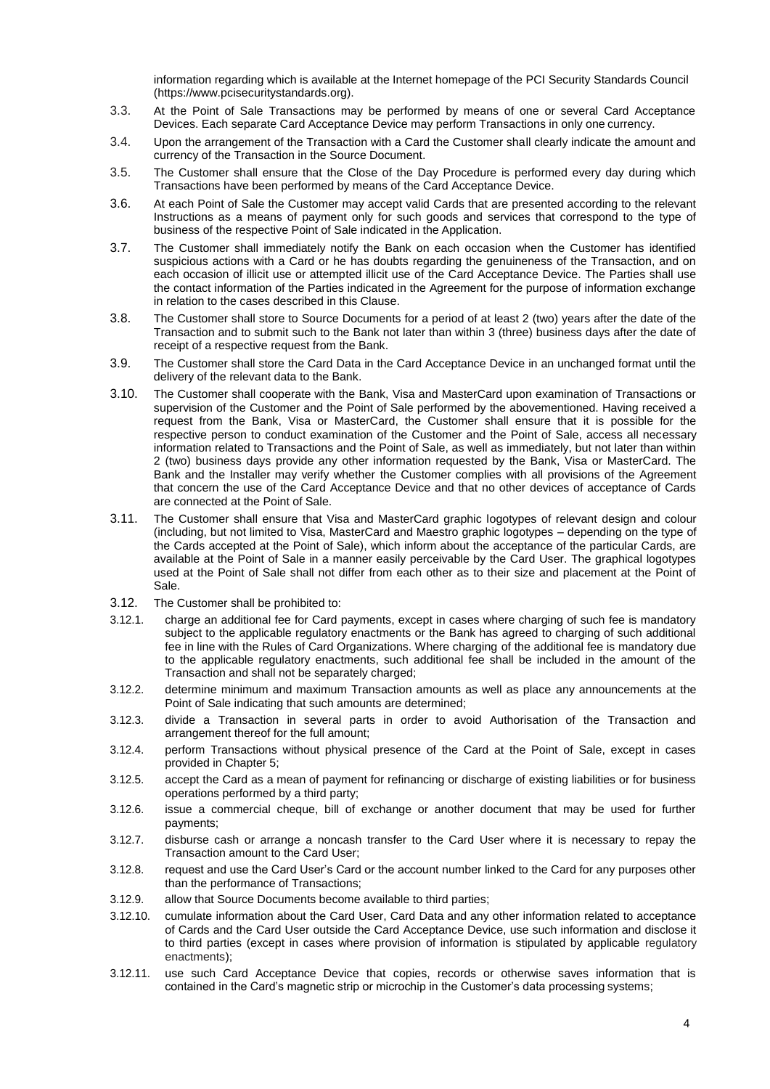information regarding which is available at the Internet homepage of the PCI Security Standards Council (https://www.pcisecuritystandards.org).

- 3.3. At the Point of Sale Transactions may be performed by means of one or several Card Acceptance Devices. Each separate Card Acceptance Device may perform Transactions in only one currency.
- 3.4. Upon the arrangement of the Transaction with a Card the Customer shall clearly indicate the amount and currency of the Transaction in the Source Document.
- 3.5. The Customer shall ensure that the Close of the Day Procedure is performed every day during which Transactions have been performed by means of the Card Acceptance Device.
- 3.6. At each Point of Sale the Customer may accept valid Cards that are presented according to the relevant Instructions as a means of payment only for such goods and services that correspond to the type of business of the respective Point of Sale indicated in the Application.
- 3.7. The Customer shall immediately notify the Bank on each occasion when the Customer has identified suspicious actions with a Card or he has doubts regarding the genuineness of the Transaction, and on each occasion of illicit use or attempted illicit use of the Card Acceptance Device. The Parties shall use the contact information of the Parties indicated in the Agreement for the purpose of information exchange in relation to the cases described in this Clause.
- 3.8. The Customer shall store to Source Documents for a period of at least 2 (two) years after the date of the Transaction and to submit such to the Bank not later than within 3 (three) business days after the date of receipt of a respective request from the Bank.
- 3.9. The Customer shall store the Card Data in the Card Acceptance Device in an unchanged format until the delivery of the relevant data to the Bank.
- 3.10. The Customer shall cooperate with the Bank, Visa and MasterCard upon examination of Transactions or supervision of the Customer and the Point of Sale performed by the abovementioned. Having received a request from the Bank, Visa or MasterCard, the Customer shall ensure that it is possible for the respective person to conduct examination of the Customer and the Point of Sale, access all necessary information related to Transactions and the Point of Sale, as well as immediately, but not later than within 2 (two) business days provide any other information requested by the Bank, Visa or MasterCard. The Bank and the Installer may verify whether the Customer complies with all provisions of the Agreement that concern the use of the Card Acceptance Device and that no other devices of acceptance of Cards are connected at the Point of Sale.
- 3.11. The Customer shall ensure that Visa and MasterCard graphic logotypes of relevant design and colour (including, but not limited to Visa, MasterCard and Maestro graphic logotypes – depending on the type of the Cards accepted at the Point of Sale), which inform about the acceptance of the particular Cards, are available at the Point of Sale in a manner easily perceivable by the Card User. The graphical logotypes used at the Point of Sale shall not differ from each other as to their size and placement at the Point of Sale.
- 3.12. The Customer shall be prohibited to:
- 3.12.1. charge an additional fee for Card payments, except in cases where charging of such fee is mandatory subject to the applicable regulatory enactments or the Bank has agreed to charging of such additional fee in line with the Rules of Card Organizations. Where charging of the additional fee is mandatory due to the applicable regulatory enactments, such additional fee shall be included in the amount of the Transaction and shall not be separately charged;
- 3.12.2. determine minimum and maximum Transaction amounts as well as place any announcements at the Point of Sale indicating that such amounts are determined;
- 3.12.3. divide a Transaction in several parts in order to avoid Authorisation of the Transaction and arrangement thereof for the full amount;
- 3.12.4. perform Transactions without physical presence of the Card at the Point of Sale, except in cases provided in Chapter 5;
- 3.12.5. accept the Card as a mean of payment for refinancing or discharge of existing liabilities or for business operations performed by a third party;
- 3.12.6. issue a commercial cheque, bill of exchange or another document that may be used for further payments;
- 3.12.7. disburse cash or arrange a noncash transfer to the Card User where it is necessary to repay the Transaction amount to the Card User;
- 3.12.8. request and use the Card User's Card or the account number linked to the Card for any purposes other than the performance of Transactions;
- 3.12.9. allow that Source Documents become available to third parties;
- 3.12.10. cumulate information about the Card User, Card Data and any other information related to acceptance of Cards and the Card User outside the Card Acceptance Device, use such information and disclose it to third parties (except in cases where provision of information is stipulated by applicable regulatory enactments);
- 3.12.11. use such Card Acceptance Device that copies, records or otherwise saves information that is contained in the Card's magnetic strip or microchip in the Customer's data processing systems;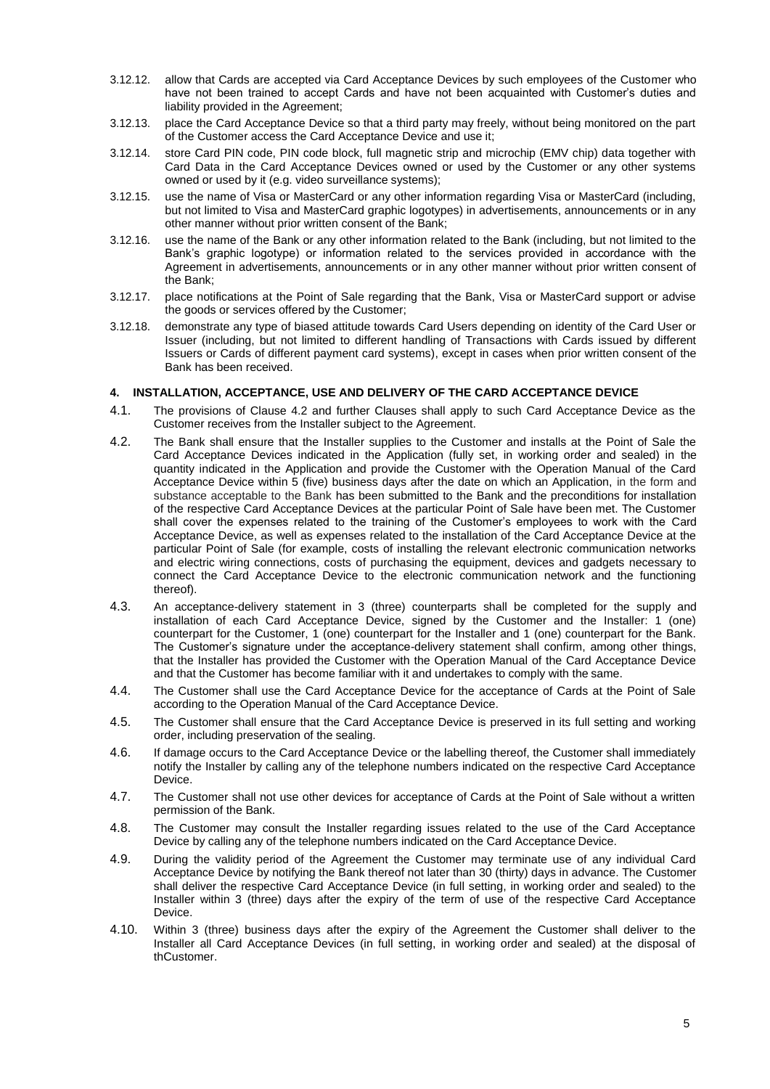- 3.12.12. allow that Cards are accepted via Card Acceptance Devices by such employees of the Customer who have not been trained to accept Cards and have not been acquainted with Customer's duties and liability provided in the Agreement;
- 3.12.13. place the Card Acceptance Device so that a third party may freely, without being monitored on the part of the Customer access the Card Acceptance Device and use it;
- 3.12.14. store Card PIN code, PIN code block, full magnetic strip and microchip (EMV chip) data together with Card Data in the Card Acceptance Devices owned or used by the Customer or any other systems owned or used by it (e.g. video surveillance systems);
- 3.12.15. use the name of Visa or MasterCard or any other information regarding Visa or MasterCard (including, but not limited to Visa and MasterCard graphic logotypes) in advertisements, announcements or in any other manner without prior written consent of the Bank;
- 3.12.16. use the name of the Bank or any other information related to the Bank (including, but not limited to the Bank's graphic logotype) or information related to the services provided in accordance with the Agreement in advertisements, announcements or in any other manner without prior written consent of the Bank;
- 3.12.17. place notifications at the Point of Sale regarding that the Bank, Visa or MasterCard support or advise the goods or services offered by the Customer;
- 3.12.18. demonstrate any type of biased attitude towards Card Users depending on identity of the Card User or Issuer (including, but not limited to different handling of Transactions with Cards issued by different Issuers or Cards of different payment card systems), except in cases when prior written consent of the Bank has been received.

# **4. INSTALLATION, ACCEPTANCE, USE AND DELIVERY OF THE CARD ACCEPTANCE DEVICE**

- 4.1. The provisions of Clause 4.2 and further Clauses shall apply to such Card Acceptance Device as the Customer receives from the Installer subject to the Agreement.
- 4.2. The Bank shall ensure that the Installer supplies to the Customer and installs at the Point of Sale the Card Acceptance Devices indicated in the Application (fully set, in working order and sealed) in the quantity indicated in the Application and provide the Customer with the Operation Manual of the Card Acceptance Device within 5 (five) business days after the date on which an Application, in the form and substance acceptable to the Bank has been submitted to the Bank and the preconditions for installation of the respective Card Acceptance Devices at the particular Point of Sale have been met. The Customer shall cover the expenses related to the training of the Customer's employees to work with the Card Acceptance Device, as well as expenses related to the installation of the Card Acceptance Device at the particular Point of Sale (for example, costs of installing the relevant electronic communication networks and electric wiring connections, costs of purchasing the equipment, devices and gadgets necessary to connect the Card Acceptance Device to the electronic communication network and the functioning thereof).
- 4.3. An acceptance-delivery statement in 3 (three) counterparts shall be completed for the supply and installation of each Card Acceptance Device, signed by the Customer and the Installer: 1 (one) counterpart for the Customer, 1 (one) counterpart for the Installer and 1 (one) counterpart for the Bank. The Customer's signature under the acceptance-delivery statement shall confirm, among other things, that the Installer has provided the Customer with the Operation Manual of the Card Acceptance Device and that the Customer has become familiar with it and undertakes to comply with the same.
- 4.4. The Customer shall use the Card Acceptance Device for the acceptance of Cards at the Point of Sale according to the Operation Manual of the Card Acceptance Device.
- 4.5. The Customer shall ensure that the Card Acceptance Device is preserved in its full setting and working order, including preservation of the sealing.
- 4.6. If damage occurs to the Card Acceptance Device or the labelling thereof, the Customer shall immediately notify the Installer by calling any of the telephone numbers indicated on the respective Card Acceptance Device.
- 4.7. The Customer shall not use other devices for acceptance of Cards at the Point of Sale without a written permission of the Bank.
- 4.8. The Customer may consult the Installer regarding issues related to the use of the Card Acceptance Device by calling any of the telephone numbers indicated on the Card Acceptance Device.
- 4.9. During the validity period of the Agreement the Customer may terminate use of any individual Card Acceptance Device by notifying the Bank thereof not later than 30 (thirty) days in advance. The Customer shall deliver the respective Card Acceptance Device (in full setting, in working order and sealed) to the Installer within 3 (three) days after the expiry of the term of use of the respective Card Acceptance Device.
- 4.10. Within 3 (three) business days after the expiry of the Agreement the Customer shall deliver to the Installer all Card Acceptance Devices (in full setting, in working order and sealed) at the disposal of thCustomer.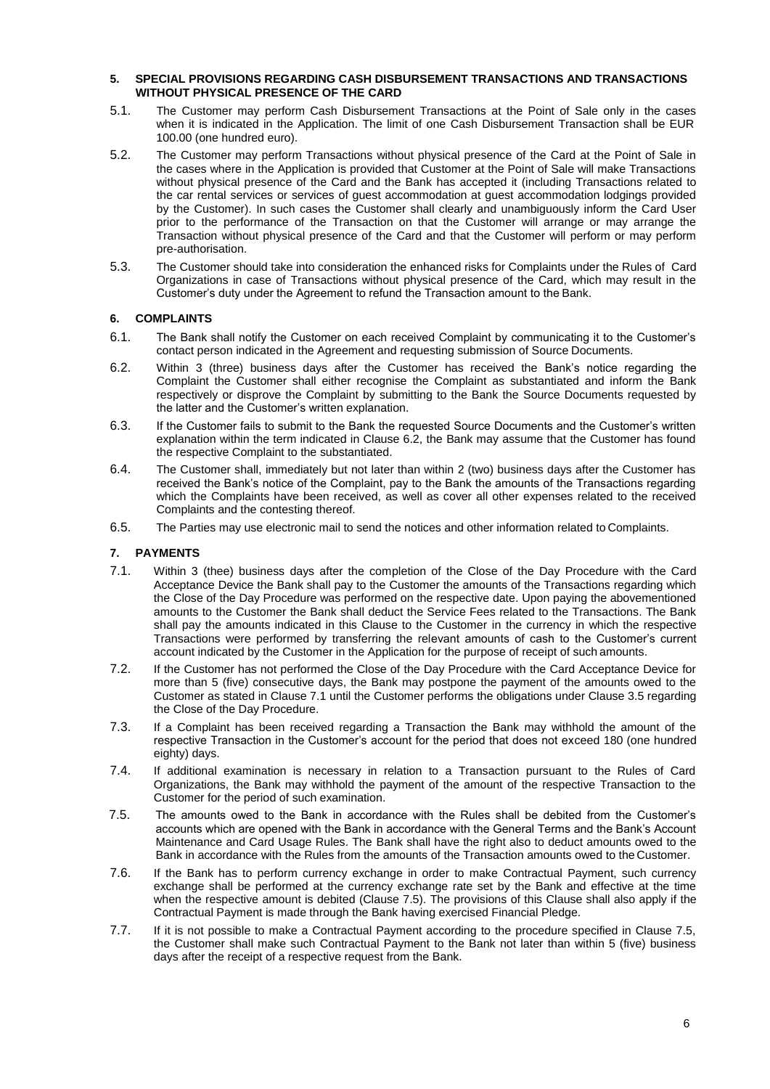#### **5. SPECIAL PROVISIONS REGARDING CASH DISBURSEMENT TRANSACTIONS AND TRANSACTIONS WITHOUT PHYSICAL PRESENCE OF THE CARD**

- 5.1. The Customer may perform Cash Disbursement Transactions at the Point of Sale only in the cases when it is indicated in the Application. The limit of one Cash Disbursement Transaction shall be EUR 100.00 (one hundred euro).
- 5.2. The Customer may perform Transactions without physical presence of the Card at the Point of Sale in the cases where in the Application is provided that Customer at the Point of Sale will make Transactions without physical presence of the Card and the Bank has accepted it (including Transactions related to the car rental services or services of guest accommodation at guest accommodation lodgings provided by the Customer). In such cases the Customer shall clearly and unambiguously inform the Card User prior to the performance of the Transaction on that the Customer will arrange or may arrange the Transaction without physical presence of the Card and that the Customer will perform or may perform pre-authorisation.
- 5.3. The Customer should take into consideration the enhanced risks for Complaints under the Rules of Card Organizations in case of Transactions without physical presence of the Card, which may result in the Customer's duty under the Agreement to refund the Transaction amount to the Bank.

# **6. COMPLAINTS**

- 6.1. The Bank shall notify the Customer on each received Complaint by communicating it to the Customer's contact person indicated in the Agreement and requesting submission of Source Documents.
- 6.2. Within 3 (three) business days after the Customer has received the Bank's notice regarding the Complaint the Customer shall either recognise the Complaint as substantiated and inform the Bank respectively or disprove the Complaint by submitting to the Bank the Source Documents requested by the latter and the Customer's written explanation.
- 6.3. If the Customer fails to submit to the Bank the requested Source Documents and the Customer's written explanation within the term indicated in Clause 6.2, the Bank may assume that the Customer has found the respective Complaint to the substantiated.
- 6.4. The Customer shall, immediately but not later than within 2 (two) business days after the Customer has received the Bank's notice of the Complaint, pay to the Bank the amounts of the Transactions regarding which the Complaints have been received, as well as cover all other expenses related to the received Complaints and the contesting thereof.
- 6.5. The Parties may use electronic mail to send the notices and other information related to Complaints.

# **7. PAYMENTS**

- 7.1. Within 3 (thee) business days after the completion of the Close of the Day Procedure with the Card Acceptance Device the Bank shall pay to the Customer the amounts of the Transactions regarding which the Close of the Day Procedure was performed on the respective date. Upon paying the abovementioned amounts to the Customer the Bank shall deduct the Service Fees related to the Transactions. The Bank shall pay the amounts indicated in this Clause to the Customer in the currency in which the respective Transactions were performed by transferring the relevant amounts of cash to the Customer's current account indicated by the Customer in the Application for the purpose of receipt of such amounts.
- 7.2. If the Customer has not performed the Close of the Day Procedure with the Card Acceptance Device for more than 5 (five) consecutive days, the Bank may postpone the payment of the amounts owed to the Customer as stated in Clause 7.1 until the Customer performs the obligations under Clause 3.5 regarding the Close of the Day Procedure.
- 7.3. If a Complaint has been received regarding a Transaction the Bank may withhold the amount of the respective Transaction in the Customer's account for the period that does not exceed 180 (one hundred eighty) days.
- 7.4. If additional examination is necessary in relation to a Transaction pursuant to the Rules of Card Organizations, the Bank may withhold the payment of the amount of the respective Transaction to the Customer for the period of such examination.
- 7.5. The amounts owed to the Bank in accordance with the Rules shall be debited from the Customer's accounts which are opened with the Bank in accordance with the General Terms and the Bank's Account Maintenance and Card Usage Rules. The Bank shall have the right also to deduct amounts owed to the Bank in accordance with the Rules from the amounts of the Transaction amounts owed to the Customer.
- 7.6. If the Bank has to perform currency exchange in order to make Contractual Payment, such currency exchange shall be performed at the currency exchange rate set by the Bank and effective at the time when the respective amount is debited (Clause 7.5). The provisions of this Clause shall also apply if the Contractual Payment is made through the Bank having exercised Financial Pledge.
- 7.7. If it is not possible to make a Contractual Payment according to the procedure specified in Clause 7.5, the Customer shall make such Contractual Payment to the Bank not later than within 5 (five) business days after the receipt of a respective request from the Bank.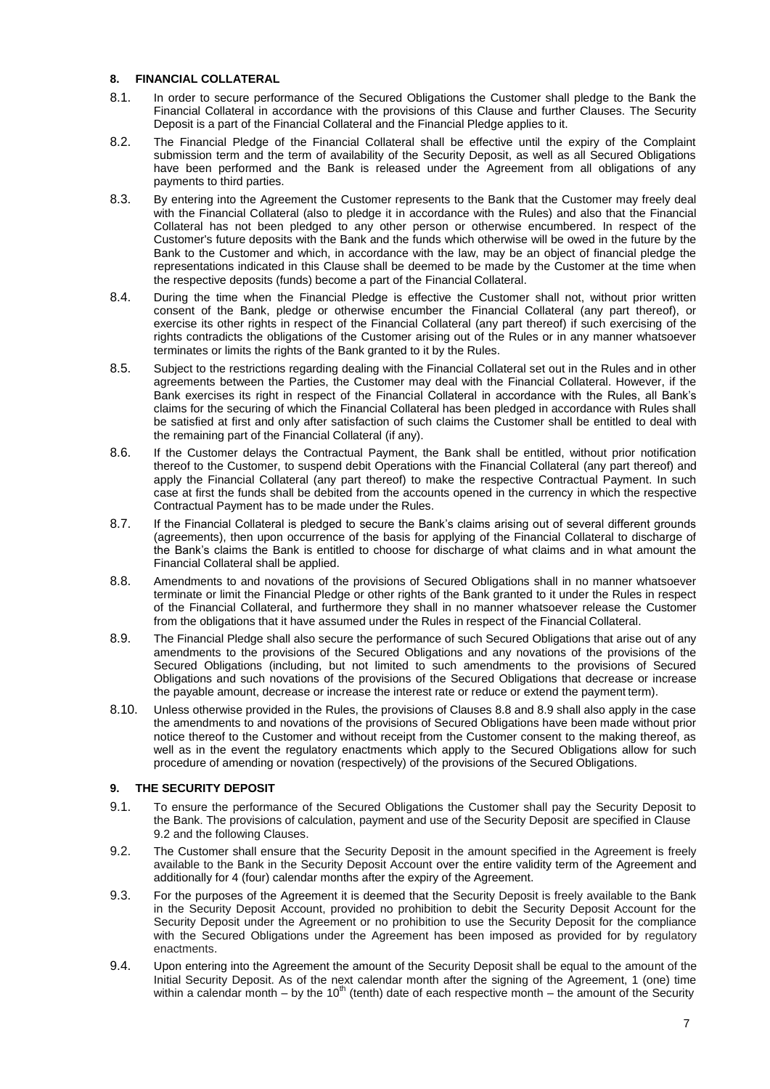# **8. FINANCIAL COLLATERAL**

- 8.1. In order to secure performance of the Secured Obligations the Customer shall pledge to the Bank the Financial Collateral in accordance with the provisions of this Clause and further Clauses. The Security Deposit is a part of the Financial Collateral and the Financial Pledge applies to it.
- 8.2. The Financial Pledge of the Financial Collateral shall be effective until the expiry of the Complaint submission term and the term of availability of the Security Deposit, as well as all Secured Obligations have been performed and the Bank is released under the Agreement from all obligations of any payments to third parties.
- 8.3. By entering into the Agreement the Customer represents to the Bank that the Customer may freely deal with the Financial Collateral (also to pledge it in accordance with the Rules) and also that the Financial Collateral has not been pledged to any other person or otherwise encumbered. In respect of the Customer's future deposits with the Bank and the funds which otherwise will be owed in the future by the Bank to the Customer and which, in accordance with the law, may be an object of financial pledge the representations indicated in this Clause shall be deemed to be made by the Customer at the time when the respective deposits (funds) become a part of the Financial Collateral.
- 8.4. During the time when the Financial Pledge is effective the Customer shall not, without prior written consent of the Bank, pledge or otherwise encumber the Financial Collateral (any part thereof), or exercise its other rights in respect of the Financial Collateral (any part thereof) if such exercising of the rights contradicts the obligations of the Customer arising out of the Rules or in any manner whatsoever terminates or limits the rights of the Bank granted to it by the Rules.
- 8.5. Subject to the restrictions regarding dealing with the Financial Collateral set out in the Rules and in other agreements between the Parties, the Customer may deal with the Financial Collateral. However, if the Bank exercises its right in respect of the Financial Collateral in accordance with the Rules, all Bank's claims for the securing of which the Financial Collateral has been pledged in accordance with Rules shall be satisfied at first and only after satisfaction of such claims the Customer shall be entitled to deal with the remaining part of the Financial Collateral (if any).
- 8.6. If the Customer delays the Contractual Payment, the Bank shall be entitled, without prior notification thereof to the Customer, to suspend debit Operations with the Financial Collateral (any part thereof) and apply the Financial Collateral (any part thereof) to make the respective Contractual Payment. In such case at first the funds shall be debited from the accounts opened in the currency in which the respective Contractual Payment has to be made under the Rules.
- 8.7. If the Financial Collateral is pledged to secure the Bank's claims arising out of several different grounds (agreements), then upon occurrence of the basis for applying of the Financial Collateral to discharge of the Bank's claims the Bank is entitled to choose for discharge of what claims and in what amount the Financial Collateral shall be applied.
- 8.8. Amendments to and novations of the provisions of Secured Obligations shall in no manner whatsoever terminate or limit the Financial Pledge or other rights of the Bank granted to it under the Rules in respect of the Financial Collateral, and furthermore they shall in no manner whatsoever release the Customer from the obligations that it have assumed under the Rules in respect of the Financial Collateral.
- 8.9. The Financial Pledge shall also secure the performance of such Secured Obligations that arise out of any amendments to the provisions of the Secured Obligations and any novations of the provisions of the Secured Obligations (including, but not limited to such amendments to the provisions of Secured Obligations and such novations of the provisions of the Secured Obligations that decrease or increase the payable amount, decrease or increase the interest rate or reduce or extend the payment term).
- 8.10. Unless otherwise provided in the Rules, the provisions of Clauses 8.8 and 8.9 shall also apply in the case the amendments to and novations of the provisions of Secured Obligations have been made without prior notice thereof to the Customer and without receipt from the Customer consent to the making thereof, as well as in the event the regulatory enactments which apply to the Secured Obligations allow for such procedure of amending or novation (respectively) of the provisions of the Secured Obligations.

# **9. THE SECURITY DEPOSIT**

- 9.1. To ensure the performance of the Secured Obligations the Customer shall pay the Security Deposit to the Bank. The provisions of calculation, payment and use of the Security Deposit are specified in Clause 9.2 and the following Clauses.
- 9.2. The Customer shall ensure that the Security Deposit in the amount specified in the Agreement is freely available to the Bank in the Security Deposit Account over the entire validity term of the Agreement and additionally for 4 (four) calendar months after the expiry of the Agreement.
- 9.3. For the purposes of the Agreement it is deemed that the Security Deposit is freely available to the Bank in the Security Deposit Account, provided no prohibition to debit the Security Deposit Account for the Security Deposit under the Agreement or no prohibition to use the Security Deposit for the compliance with the Secured Obligations under the Agreement has been imposed as provided for by regulatory enactments.
- 9.4. Upon entering into the Agreement the amount of the Security Deposit shall be equal to the amount of the Initial Security Deposit. As of the next calendar month after the signing of the Agreement, 1 (one) time within a calendar month – by the  $10<sup>th</sup>$  (tenth) date of each respective month – the amount of the Security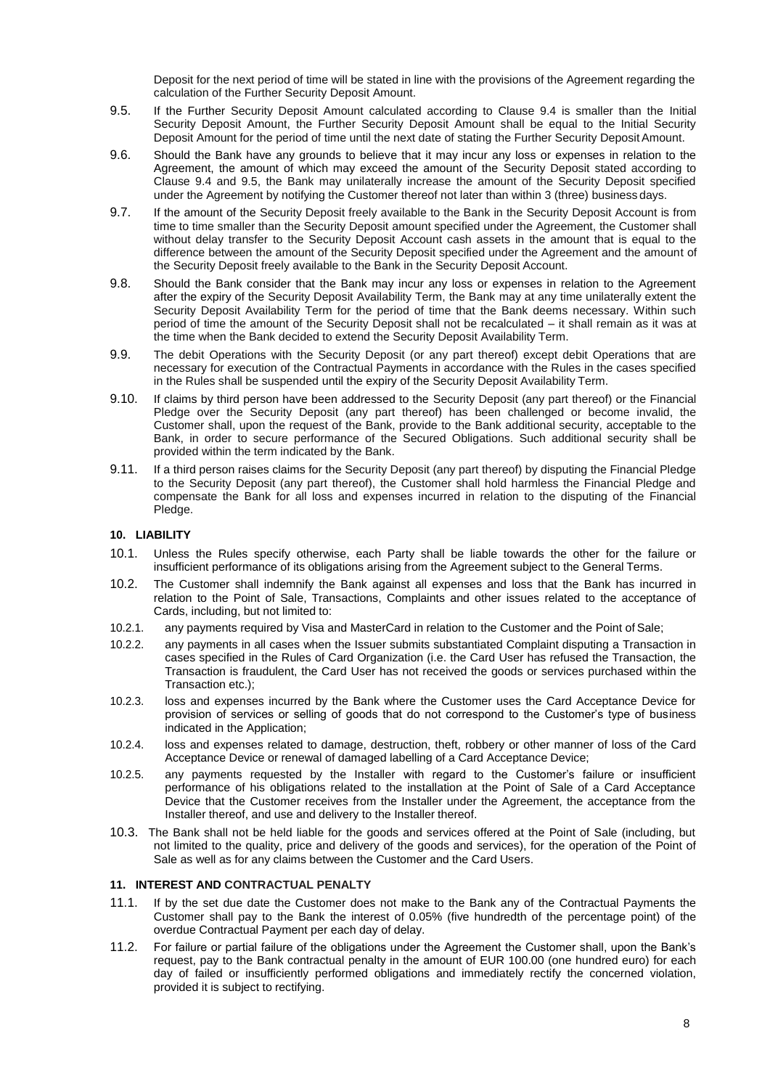Deposit for the next period of time will be stated in line with the provisions of the Agreement regarding the calculation of the Further Security Deposit Amount.

- 9.5. If the Further Security Deposit Amount calculated according to Clause 9.4 is smaller than the Initial Security Deposit Amount, the Further Security Deposit Amount shall be equal to the Initial Security Deposit Amount for the period of time until the next date of stating the Further Security Deposit Amount.
- 9.6. Should the Bank have any grounds to believe that it may incur any loss or expenses in relation to the Agreement, the amount of which may exceed the amount of the Security Deposit stated according to Clause 9.4 and 9.5, the Bank may unilaterally increase the amount of the Security Deposit specified under the Agreement by notifying the Customer thereof not later than within 3 (three) business days.
- 9.7. If the amount of the Security Deposit freely available to the Bank in the Security Deposit Account is from time to time smaller than the Security Deposit amount specified under the Agreement, the Customer shall without delay transfer to the Security Deposit Account cash assets in the amount that is equal to the difference between the amount of the Security Deposit specified under the Agreement and the amount of the Security Deposit freely available to the Bank in the Security Deposit Account.
- 9.8. Should the Bank consider that the Bank may incur any loss or expenses in relation to the Agreement after the expiry of the Security Deposit Availability Term, the Bank may at any time unilaterally extent the Security Deposit Availability Term for the period of time that the Bank deems necessary. Within such period of time the amount of the Security Deposit shall not be recalculated – it shall remain as it was at the time when the Bank decided to extend the Security Deposit Availability Term.
- 9.9. The debit Operations with the Security Deposit (or any part thereof) except debit Operations that are necessary for execution of the Contractual Payments in accordance with the Rules in the cases specified in the Rules shall be suspended until the expiry of the Security Deposit Availability Term.
- 9.10. If claims by third person have been addressed to the Security Deposit (any part thereof) or the Financial Pledge over the Security Deposit (any part thereof) has been challenged or become invalid, the Customer shall, upon the request of the Bank, provide to the Bank additional security, acceptable to the Bank, in order to secure performance of the Secured Obligations. Such additional security shall be provided within the term indicated by the Bank.
- 9.11. If a third person raises claims for the Security Deposit (any part thereof) by disputing the Financial Pledge to the Security Deposit (any part thereof), the Customer shall hold harmless the Financial Pledge and compensate the Bank for all loss and expenses incurred in relation to the disputing of the Financial Pledge.

# **10. LIABILITY**

- 10.1. Unless the Rules specify otherwise, each Party shall be liable towards the other for the failure or insufficient performance of its obligations arising from the Agreement subject to the General Terms.
- 10.2. The Customer shall indemnify the Bank against all expenses and loss that the Bank has incurred in relation to the Point of Sale, Transactions, Complaints and other issues related to the acceptance of Cards, including, but not limited to:
- 10.2.1. any payments required by Visa and MasterCard in relation to the Customer and the Point of Sale;
- 10.2.2. any payments in all cases when the Issuer submits substantiated Complaint disputing a Transaction in cases specified in the Rules of Card Organization (i.e. the Card User has refused the Transaction, the Transaction is fraudulent, the Card User has not received the goods or services purchased within the Transaction etc.);
- 10.2.3. loss and expenses incurred by the Bank where the Customer uses the Card Acceptance Device for provision of services or selling of goods that do not correspond to the Customer's type of business indicated in the Application;
- 10.2.4. loss and expenses related to damage, destruction, theft, robbery or other manner of loss of the Card Acceptance Device or renewal of damaged labelling of a Card Acceptance Device;
- 10.2.5. any payments requested by the Installer with regard to the Customer's failure or insufficient performance of his obligations related to the installation at the Point of Sale of a Card Acceptance Device that the Customer receives from the Installer under the Agreement, the acceptance from the Installer thereof, and use and delivery to the Installer thereof.
- 10.3. The Bank shall not be held liable for the goods and services offered at the Point of Sale (including, but not limited to the quality, price and delivery of the goods and services), for the operation of the Point of Sale as well as for any claims between the Customer and the Card Users.

#### **11. INTEREST AND CONTRACTUAL PENALTY**

- 11.1. If by the set due date the Customer does not make to the Bank any of the Contractual Payments the Customer shall pay to the Bank the interest of 0.05% (five hundredth of the percentage point) of the overdue Contractual Payment per each day of delay.
- 11.2. For failure or partial failure of the obligations under the Agreement the Customer shall, upon the Bank's request, pay to the Bank contractual penalty in the amount of EUR 100.00 (one hundred euro) for each day of failed or insufficiently performed obligations and immediately rectify the concerned violation, provided it is subject to rectifying.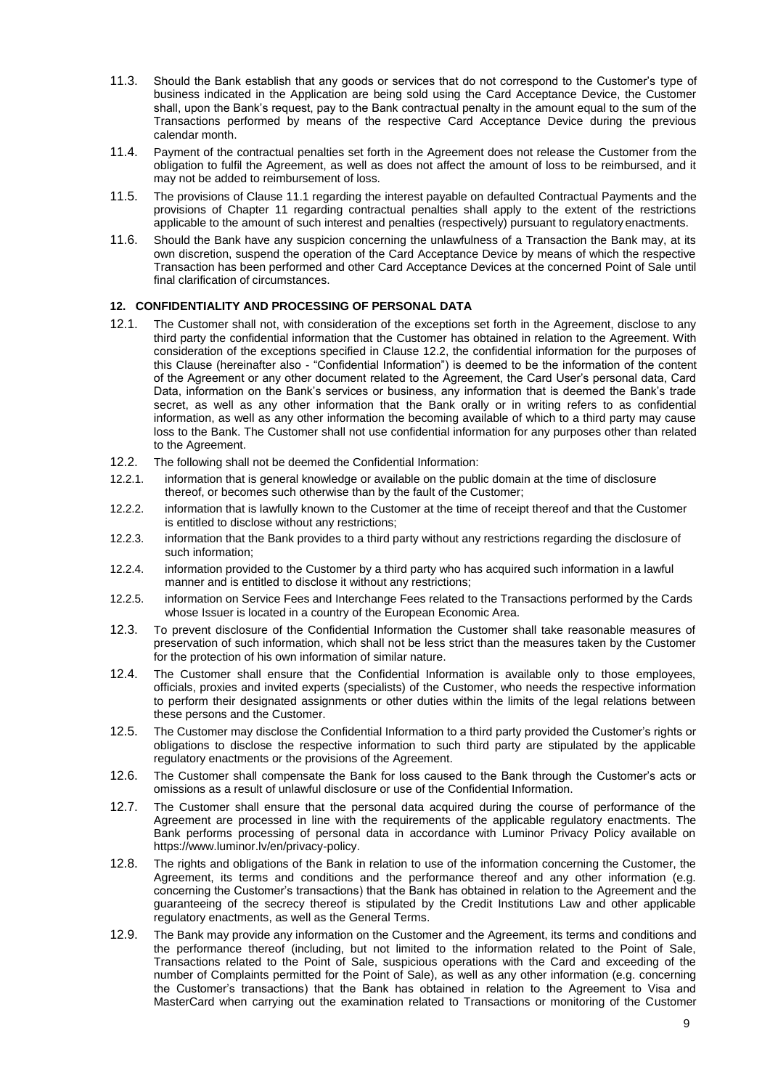- 11.3. Should the Bank establish that any goods or services that do not correspond to the Customer's type of business indicated in the Application are being sold using the Card Acceptance Device, the Customer shall, upon the Bank's request, pay to the Bank contractual penalty in the amount equal to the sum of the Transactions performed by means of the respective Card Acceptance Device during the previous calendar month.
- 11.4. Payment of the contractual penalties set forth in the Agreement does not release the Customer from the obligation to fulfil the Agreement, as well as does not affect the amount of loss to be reimbursed, and it may not be added to reimbursement of loss.
- 11.5. The provisions of Clause 11.1 regarding the interest payable on defaulted Contractual Payments and the provisions of Chapter 11 regarding contractual penalties shall apply to the extent of the restrictions applicable to the amount of such interest and penalties (respectively) pursuant to regulatory enactments.
- 11.6. Should the Bank have any suspicion concerning the unlawfulness of a Transaction the Bank may, at its own discretion, suspend the operation of the Card Acceptance Device by means of which the respective Transaction has been performed and other Card Acceptance Devices at the concerned Point of Sale until final clarification of circumstances.

# **12. CONFIDENTIALITY AND PROCESSING OF PERSONAL DATA**

- 12.1. The Customer shall not, with consideration of the exceptions set forth in the Agreement, disclose to any third party the confidential information that the Customer has obtained in relation to the Agreement. With consideration of the exceptions specified in Clause 12.2, the confidential information for the purposes of this Clause (hereinafter also - "Confidential Information") is deemed to be the information of the content of the Agreement or any other document related to the Agreement, the Card User's personal data, Card Data, information on the Bank's services or business, any information that is deemed the Bank's trade secret, as well as any other information that the Bank orally or in writing refers to as confidential information, as well as any other information the becoming available of which to a third party may cause loss to the Bank. The Customer shall not use confidential information for any purposes other than related to the Agreement.
- 12.2. The following shall not be deemed the Confidential Information:
- 12.2.1. information that is general knowledge or available on the public domain at the time of disclosure thereof, or becomes such otherwise than by the fault of the Customer;
- 12.2.2. information that is lawfully known to the Customer at the time of receipt thereof and that the Customer is entitled to disclose without any restrictions;
- 12.2.3. information that the Bank provides to a third party without any restrictions regarding the disclosure of such information;
- 12.2.4. information provided to the Customer by a third party who has acquired such information in a lawful manner and is entitled to disclose it without any restrictions;
- 12.2.5. information on Service Fees and Interchange Fees related to the Transactions performed by the Cards whose Issuer is located in a country of the European Economic Area.
- 12.3. To prevent disclosure of the Confidential Information the Customer shall take reasonable measures of preservation of such information, which shall not be less strict than the measures taken by the Customer for the protection of his own information of similar nature.
- 12.4. The Customer shall ensure that the Confidential Information is available only to those employees, officials, proxies and invited experts (specialists) of the Customer, who needs the respective information to perform their designated assignments or other duties within the limits of the legal relations between these persons and the Customer.
- 12.5. The Customer may disclose the Confidential Information to a third party provided the Customer's rights or obligations to disclose the respective information to such third party are stipulated by the applicable regulatory enactments or the provisions of the Agreement.
- 12.6. The Customer shall compensate the Bank for loss caused to the Bank through the Customer's acts or omissions as a result of unlawful disclosure or use of the Confidential Information.
- 12.7. The Customer shall ensure that the personal data acquired during the course of performance of the Agreement are processed in line with the requirements of the applicable regulatory enactments. The Bank performs processing of personal data in accordance with Luminor Privacy Policy available on https://www.luminor.lv/en/privacy-policy.
- 12.8. The rights and obligations of the Bank in relation to use of the information concerning the Customer, the Agreement, its terms and conditions and the performance thereof and any other information (e.g. concerning the Customer's transactions) that the Bank has obtained in relation to the Agreement and the guaranteeing of the secrecy thereof is stipulated by the Credit Institutions Law and other applicable regulatory enactments, as well as the General Terms.
- 12.9. The Bank may provide any information on the Customer and the Agreement, its terms and conditions and the performance thereof (including, but not limited to the information related to the Point of Sale, Transactions related to the Point of Sale, suspicious operations with the Card and exceeding of the number of Complaints permitted for the Point of Sale), as well as any other information (e.g. concerning the Customer's transactions) that the Bank has obtained in relation to the Agreement to Visa and MasterCard when carrying out the examination related to Transactions or monitoring of the Customer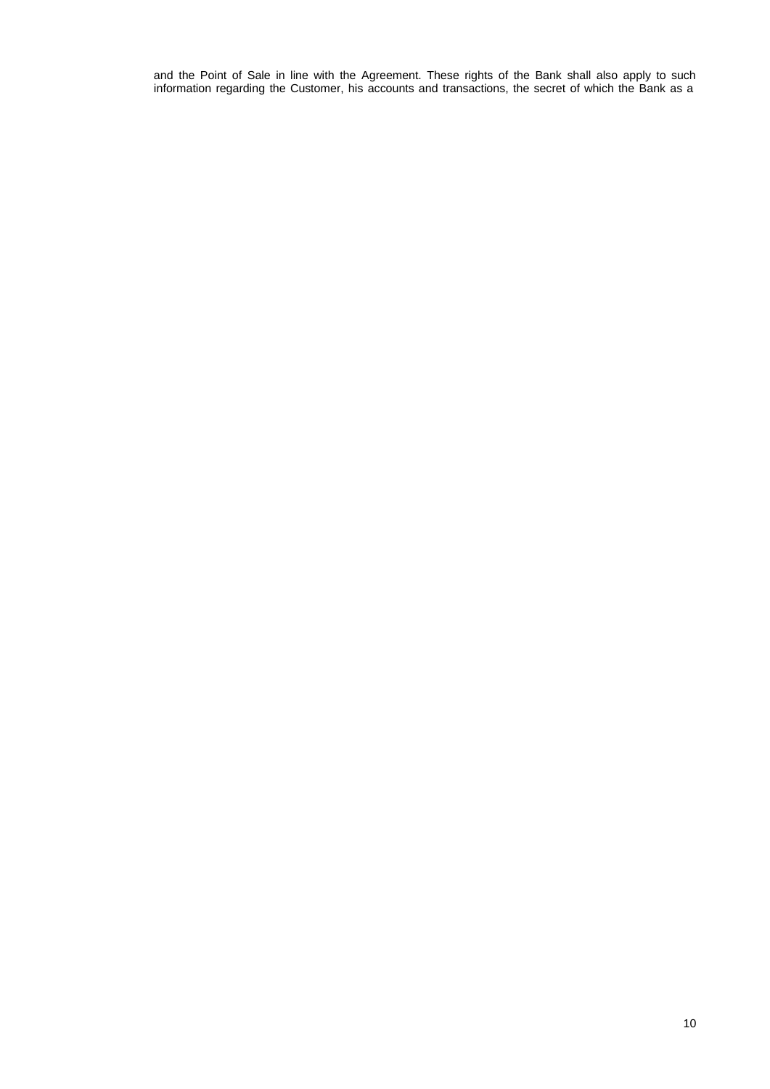and the Point of Sale in line with the Agreement. These rights of the Bank shall also apply to such information regarding the Customer, his accounts and transactions, the secret of which the Bank as a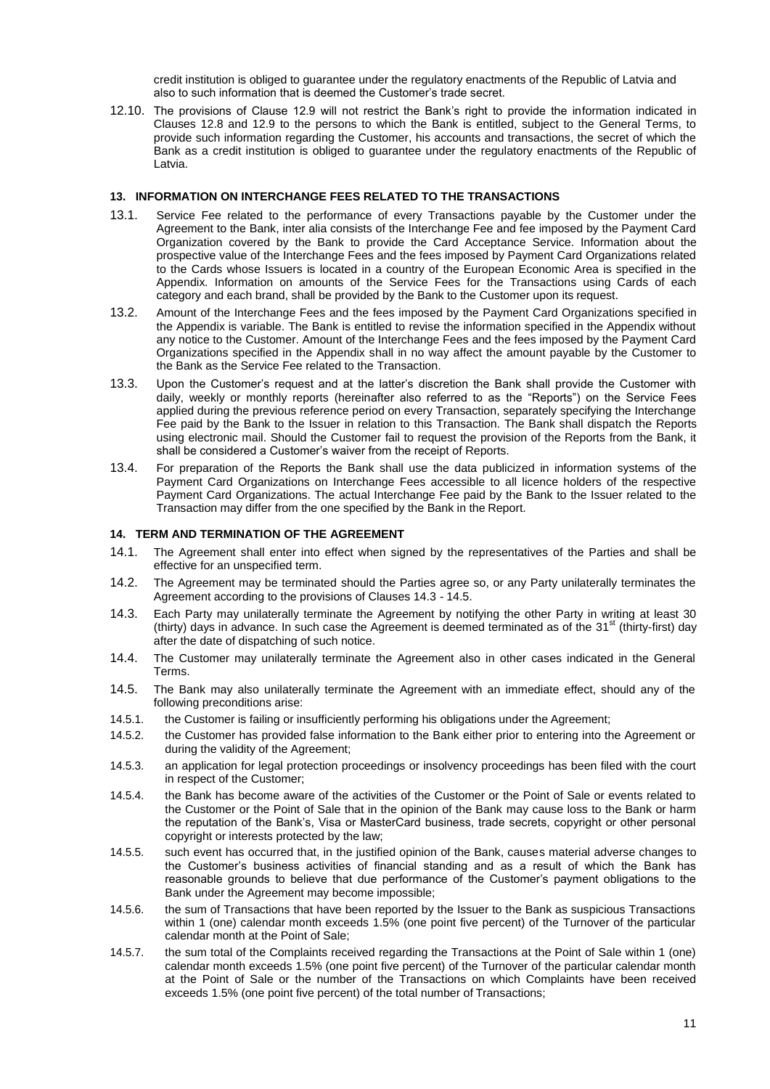credit institution is obliged to guarantee under the regulatory enactments of the Republic of Latvia and also to such information that is deemed the Customer's trade secret.

12.10. The provisions of Clause 12.9 will not restrict the Bank's right to provide the information indicated in Clauses 12.8 and 12.9 to the persons to which the Bank is entitled, subject to the General Terms, to provide such information regarding the Customer, his accounts and transactions, the secret of which the Bank as a credit institution is obliged to guarantee under the regulatory enactments of the Republic of Latvia.

#### **13. INFORMATION ON INTERCHANGE FEES RELATED TO THE TRANSACTIONS**

- 13.1. Service Fee related to the performance of every Transactions payable by the Customer under the Agreement to the Bank, inter alia consists of the Interchange Fee and fee imposed by the Payment Card Organization covered by the Bank to provide the Card Acceptance Service. Information about the prospective value of the Interchange Fees and the fees imposed by Payment Card Organizations related to the Cards whose Issuers is located in a country of the European Economic Area is specified in the Appendix. Information on amounts of the Service Fees for the Transactions using Cards of each category and each brand, shall be provided by the Bank to the Customer upon its request.
- 13.2. Amount of the Interchange Fees and the fees imposed by the Payment Card Organizations specified in the Appendix is variable. The Bank is entitled to revise the information specified in the Appendix without any notice to the Customer. Amount of the Interchange Fees and the fees imposed by the Payment Card Organizations specified in the Appendix shall in no way affect the amount payable by the Customer to the Bank as the Service Fee related to the Transaction.
- 13.3. Upon the Customer's request and at the latter's discretion the Bank shall provide the Customer with daily, weekly or monthly reports (hereinafter also referred to as the "Reports") on the Service Fees applied during the previous reference period on every Transaction, separately specifying the Interchange Fee paid by the Bank to the Issuer in relation to this Transaction. The Bank shall dispatch the Reports using electronic mail. Should the Customer fail to request the provision of the Reports from the Bank, it shall be considered a Customer's waiver from the receipt of Reports.
- 13.4. For preparation of the Reports the Bank shall use the data publicized in information systems of the Payment Card Organizations on Interchange Fees accessible to all licence holders of the respective Payment Card Organizations. The actual Interchange Fee paid by the Bank to the Issuer related to the Transaction may differ from the one specified by the Bank in the Report.

#### **14. TERM AND TERMINATION OF THE AGREEMENT**

- 14.1. The Agreement shall enter into effect when signed by the representatives of the Parties and shall be effective for an unspecified term.
- 14.2. The Agreement may be terminated should the Parties agree so, or any Party unilaterally terminates the Agreement according to the provisions of Clauses 14.3 - 14.5.
- 14.3. Each Party may unilaterally terminate the Agreement by notifying the other Party in writing at least 30 (thirty) days in advance. In such case the Agreement is deemed terminated as of the  $31<sup>st</sup>$  (thirty-first) day after the date of dispatching of such notice.
- 14.4. The Customer may unilaterally terminate the Agreement also in other cases indicated in the General Terms.
- 14.5. The Bank may also unilaterally terminate the Agreement with an immediate effect, should any of the following preconditions arise:
- 14.5.1. the Customer is failing or insufficiently performing his obligations under the Agreement;
- 14.5.2. the Customer has provided false information to the Bank either prior to entering into the Agreement or during the validity of the Agreement;
- 14.5.3. an application for legal protection proceedings or insolvency proceedings has been filed with the court in respect of the Customer;
- 14.5.4. the Bank has become aware of the activities of the Customer or the Point of Sale or events related to the Customer or the Point of Sale that in the opinion of the Bank may cause loss to the Bank or harm the reputation of the Bank's, Visa or MasterCard business, trade secrets, copyright or other personal copyright or interests protected by the law;
- 14.5.5. such event has occurred that, in the justified opinion of the Bank, causes material adverse changes to the Customer's business activities of financial standing and as a result of which the Bank has reasonable grounds to believe that due performance of the Customer's payment obligations to the Bank under the Agreement may become impossible;
- 14.5.6. the sum of Transactions that have been reported by the Issuer to the Bank as suspicious Transactions within 1 (one) calendar month exceeds 1.5% (one point five percent) of the Turnover of the particular calendar month at the Point of Sale;
- 14.5.7. the sum total of the Complaints received regarding the Transactions at the Point of Sale within 1 (one) calendar month exceeds 1.5% (one point five percent) of the Turnover of the particular calendar month at the Point of Sale or the number of the Transactions on which Complaints have been received exceeds 1.5% (one point five percent) of the total number of Transactions;